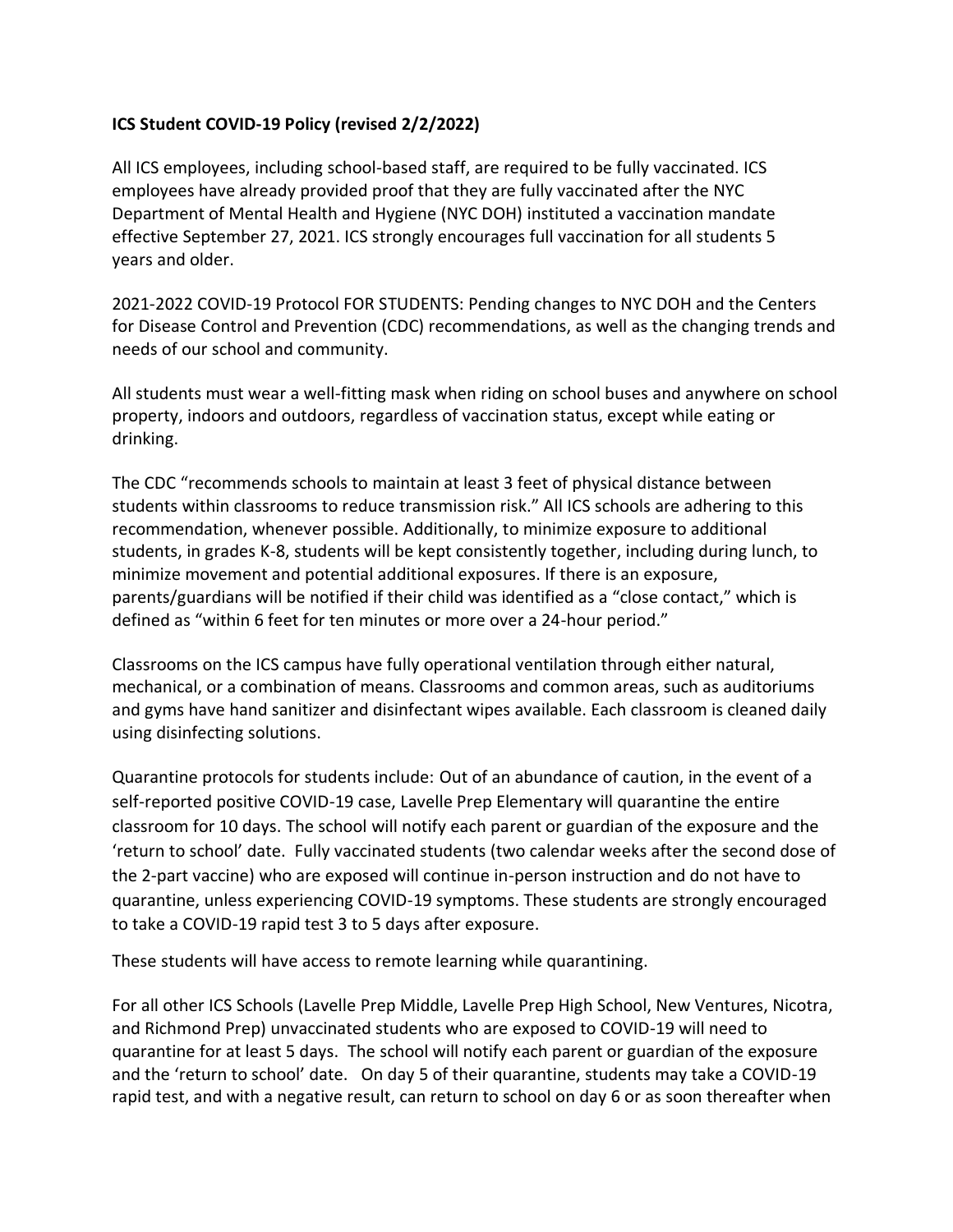## **ICS Student COVID-19 Policy (revised 2/2/2022)**

All ICS employees, including school-based staff, are required to be fully vaccinated. ICS employees have already provided proof that they are fully vaccinated after the NYC Department of Mental Health and Hygiene (NYC DOH) instituted a vaccination mandate effective September 27, 2021. ICS strongly encourages full vaccination for all students 5 years and older.

2021-2022 COVID-19 Protocol FOR STUDENTS: Pending changes to NYC DOH and the Centers for Disease Control and Prevention (CDC) recommendations, as well as the changing trends and needs of our school and community.

All students must wear a well-fitting mask when riding on school buses and anywhere on school property, indoors and outdoors, regardless of vaccination status, except while eating or drinking.

The CDC "recommends schools to maintain at least 3 feet of physical distance between students within classrooms to reduce transmission risk." All ICS schools are adhering to this recommendation, whenever possible. Additionally, to minimize exposure to additional students, in grades K-8, students will be kept consistently together, including during lunch, to minimize movement and potential additional exposures. If there is an exposure, parents/guardians will be notified if their child was identified as a "close contact," which is defined as "within 6 feet for ten minutes or more over a 24-hour period."

Classrooms on the ICS campus have fully operational ventilation through either natural, mechanical, or a combination of means. Classrooms and common areas, such as auditoriums and gyms have hand sanitizer and disinfectant wipes available. Each classroom is cleaned daily using disinfecting solutions.

Quarantine protocols for students include: Out of an abundance of caution, in the event of a self-reported positive COVID-19 case, Lavelle Prep Elementary will quarantine the entire classroom for 10 days. The school will notify each parent or guardian of the exposure and the 'return to school' date. Fully vaccinated students (two calendar weeks after the second dose of the 2-part vaccine) who are exposed will continue in-person instruction and do not have to quarantine, unless experiencing COVID-19 symptoms. These students are strongly encouraged to take a COVID-19 rapid test 3 to 5 days after exposure.

These students will have access to remote learning while quarantining.

For all other ICS Schools (Lavelle Prep Middle, Lavelle Prep High School, New Ventures, Nicotra, and Richmond Prep) unvaccinated students who are exposed to COVID-19 will need to quarantine for at least 5 days. The school will notify each parent or guardian of the exposure and the 'return to school' date. On day 5 of their quarantine, students may take a COVID-19 rapid test, and with a negative result, can return to school on day 6 or as soon thereafter when